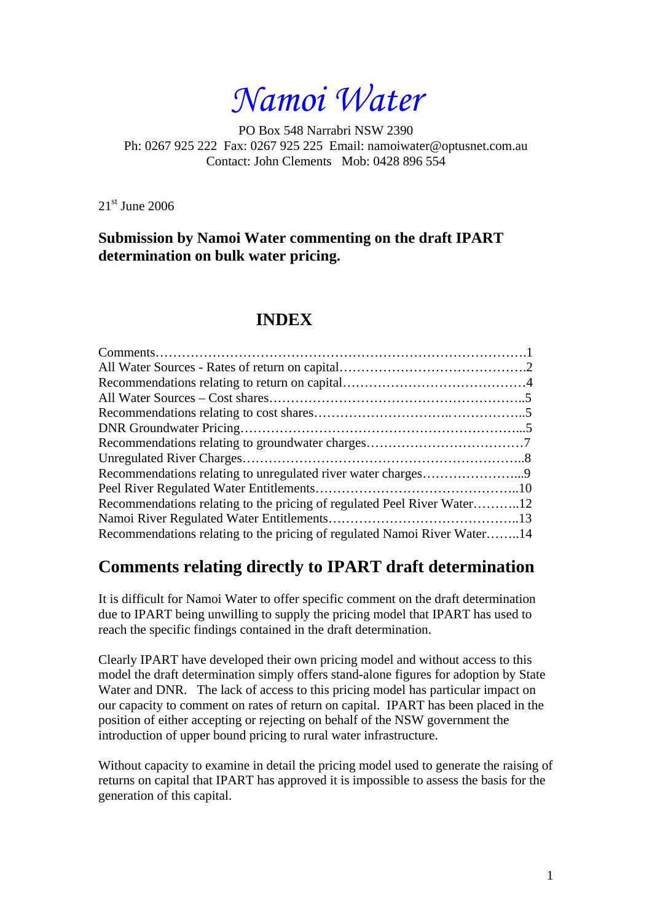*Namoi Water* 

PO Box 548 Narrabri NSW 2390 Ph: 0267 925 222 Fax: 0267 925 225 Email: namoiwater@optusnet.com.au Contact: John Clements Mob: 0428 896 554

21<sup>st</sup> June 2006

**Submission by Namoi Water commenting on the draft IPART determination on bulk water pricing.** 

# **INDEX**

| Recommendations relating to the pricing of regulated Peel River Water12  |  |
|--------------------------------------------------------------------------|--|
|                                                                          |  |
| Recommendations relating to the pricing of regulated Namoi River Water14 |  |

# **Comments relating directly to IPART draft determination**

It is difficult for Namoi Water to offer specific comment on the draft determination due to IPART being unwilling to supply the pricing model that IPART has used to reach the specific findings contained in the draft determination.

Clearly IPART have developed their own pricing model and without access to this model the draft determination simply offers stand-alone figures for adoption by State Water and DNR. The lack of access to this pricing model has particular impact on our capacity to comment on rates of return on capital. IPART has been placed in the position of either accepting or rejecting on behalf of the NSW government the introduction of upper bound pricing to rural water infrastructure.

Without capacity to examine in detail the pricing model used to generate the raising of returns on capital that IPART has approved it is impossible to assess the basis for the generation of this capital.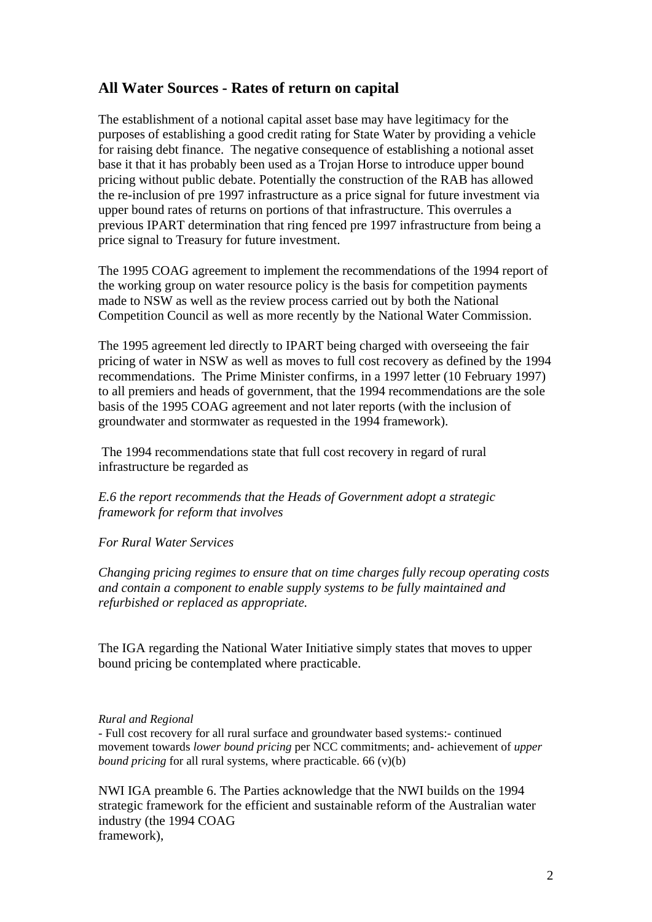## **All Water Sources - Rates of return on capital**

The establishment of a notional capital asset base may have legitimacy for the purposes of establishing a good credit rating for State Water by providing a vehicle for raising debt finance. The negative consequence of establishing a notional asset base it that it has probably been used as a Trojan Horse to introduce upper bound pricing without public debate. Potentially the construction of the RAB has allowed the re-inclusion of pre 1997 infrastructure as a price signal for future investment via upper bound rates of returns on portions of that infrastructure. This overrules a previous IPART determination that ring fenced pre 1997 infrastructure from being a price signal to Treasury for future investment.

The 1995 COAG agreement to implement the recommendations of the 1994 report of the working group on water resource policy is the basis for competition payments made to NSW as well as the review process carried out by both the National Competition Council as well as more recently by the National Water Commission.

The 1995 agreement led directly to IPART being charged with overseeing the fair pricing of water in NSW as well as moves to full cost recovery as defined by the 1994 recommendations. The Prime Minister confirms, in a 1997 letter (10 February 1997) to all premiers and heads of government, that the 1994 recommendations are the sole basis of the 1995 COAG agreement and not later reports (with the inclusion of groundwater and stormwater as requested in the 1994 framework).

 The 1994 recommendations state that full cost recovery in regard of rural infrastructure be regarded as

*E.6 the report recommends that the Heads of Government adopt a strategic framework for reform that involves* 

#### *For Rural Water Services*

*Changing pricing regimes to ensure that on time charges fully recoup operating costs and contain a component to enable supply systems to be fully maintained and refurbished or replaced as appropriate.*

The IGA regarding the National Water Initiative simply states that moves to upper bound pricing be contemplated where practicable.

#### *Rural and Regional*

- Full cost recovery for all rural surface and groundwater based systems:- continued movement towards *lower bound pricing* per NCC commitments; and- achievement of *upper bound pricing* for all rural systems, where practicable. 66 (v)(b)

NWI IGA preamble 6. The Parties acknowledge that the NWI builds on the 1994 strategic framework for the efficient and sustainable reform of the Australian water industry (the 1994 COAG framework),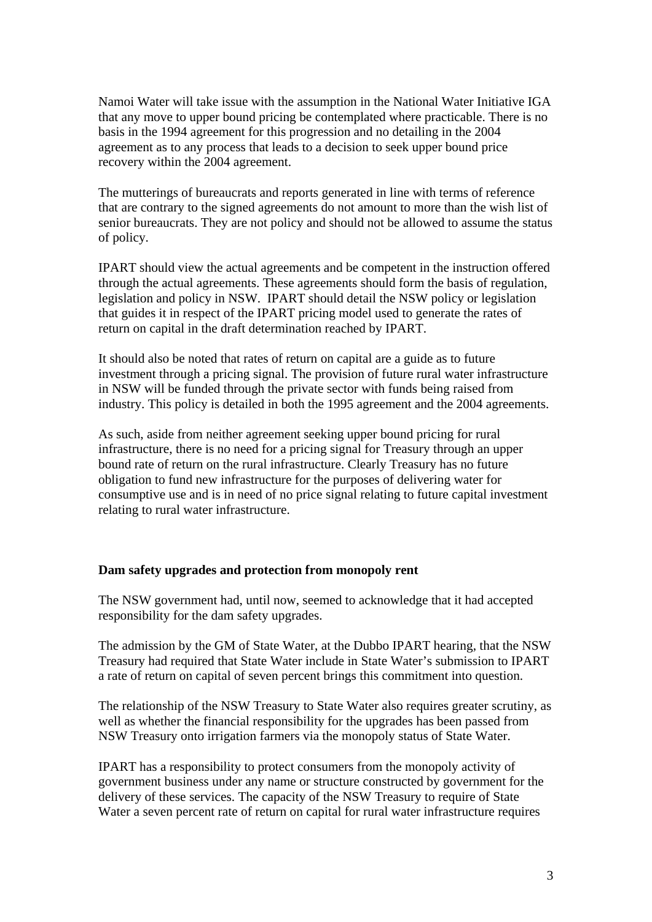Namoi Water will take issue with the assumption in the National Water Initiative IGA that any move to upper bound pricing be contemplated where practicable. There is no basis in the 1994 agreement for this progression and no detailing in the 2004 agreement as to any process that leads to a decision to seek upper bound price recovery within the 2004 agreement.

The mutterings of bureaucrats and reports generated in line with terms of reference that are contrary to the signed agreements do not amount to more than the wish list of senior bureaucrats. They are not policy and should not be allowed to assume the status of policy.

IPART should view the actual agreements and be competent in the instruction offered through the actual agreements. These agreements should form the basis of regulation, legislation and policy in NSW. IPART should detail the NSW policy or legislation that guides it in respect of the IPART pricing model used to generate the rates of return on capital in the draft determination reached by IPART.

It should also be noted that rates of return on capital are a guide as to future investment through a pricing signal. The provision of future rural water infrastructure in NSW will be funded through the private sector with funds being raised from industry. This policy is detailed in both the 1995 agreement and the 2004 agreements.

As such, aside from neither agreement seeking upper bound pricing for rural infrastructure, there is no need for a pricing signal for Treasury through an upper bound rate of return on the rural infrastructure. Clearly Treasury has no future obligation to fund new infrastructure for the purposes of delivering water for consumptive use and is in need of no price signal relating to future capital investment relating to rural water infrastructure.

#### **Dam safety upgrades and protection from monopoly rent**

The NSW government had, until now, seemed to acknowledge that it had accepted responsibility for the dam safety upgrades.

The admission by the GM of State Water, at the Dubbo IPART hearing, that the NSW Treasury had required that State Water include in State Water's submission to IPART a rate of return on capital of seven percent brings this commitment into question.

The relationship of the NSW Treasury to State Water also requires greater scrutiny, as well as whether the financial responsibility for the upgrades has been passed from NSW Treasury onto irrigation farmers via the monopoly status of State Water.

IPART has a responsibility to protect consumers from the monopoly activity of government business under any name or structure constructed by government for the delivery of these services. The capacity of the NSW Treasury to require of State Water a seven percent rate of return on capital for rural water infrastructure requires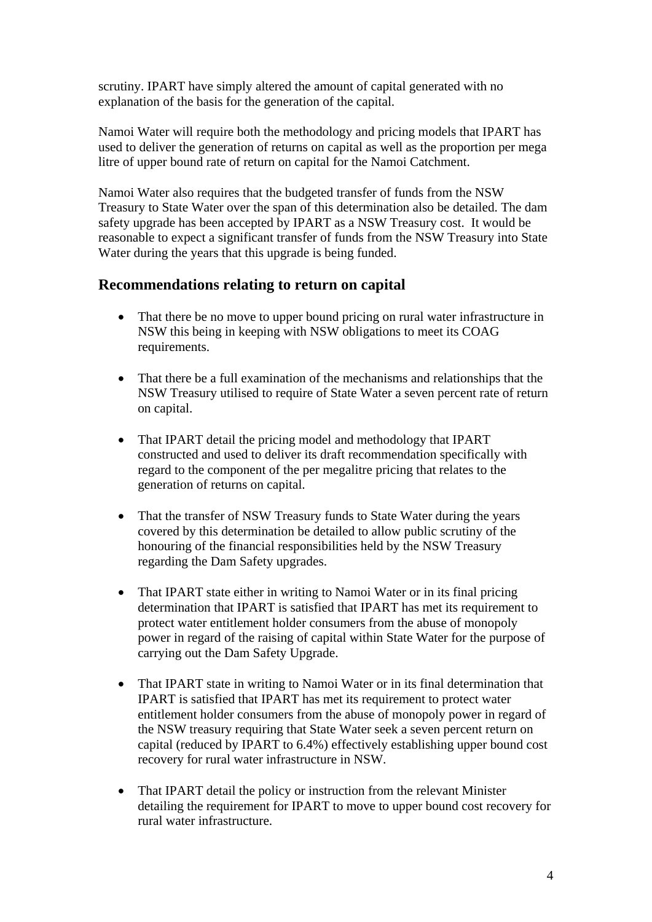scrutiny. IPART have simply altered the amount of capital generated with no explanation of the basis for the generation of the capital.

Namoi Water will require both the methodology and pricing models that IPART has used to deliver the generation of returns on capital as well as the proportion per mega litre of upper bound rate of return on capital for the Namoi Catchment.

Namoi Water also requires that the budgeted transfer of funds from the NSW Treasury to State Water over the span of this determination also be detailed. The dam safety upgrade has been accepted by IPART as a NSW Treasury cost. It would be reasonable to expect a significant transfer of funds from the NSW Treasury into State Water during the years that this upgrade is being funded.

### **Recommendations relating to return on capital**

- That there be no move to upper bound pricing on rural water infrastructure in NSW this being in keeping with NSW obligations to meet its COAG requirements.
- That there be a full examination of the mechanisms and relationships that the NSW Treasury utilised to require of State Water a seven percent rate of return on capital.
- That IPART detail the pricing model and methodology that IPART constructed and used to deliver its draft recommendation specifically with regard to the component of the per megalitre pricing that relates to the generation of returns on capital.
- That the transfer of NSW Treasury funds to State Water during the years covered by this determination be detailed to allow public scrutiny of the honouring of the financial responsibilities held by the NSW Treasury regarding the Dam Safety upgrades.
- That IPART state either in writing to Namoi Water or in its final pricing determination that IPART is satisfied that IPART has met its requirement to protect water entitlement holder consumers from the abuse of monopoly power in regard of the raising of capital within State Water for the purpose of carrying out the Dam Safety Upgrade.
- That IPART state in writing to Namoi Water or in its final determination that IPART is satisfied that IPART has met its requirement to protect water entitlement holder consumers from the abuse of monopoly power in regard of the NSW treasury requiring that State Water seek a seven percent return on capital (reduced by IPART to 6.4%) effectively establishing upper bound cost recovery for rural water infrastructure in NSW.
- That IPART detail the policy or instruction from the relevant Minister detailing the requirement for IPART to move to upper bound cost recovery for rural water infrastructure.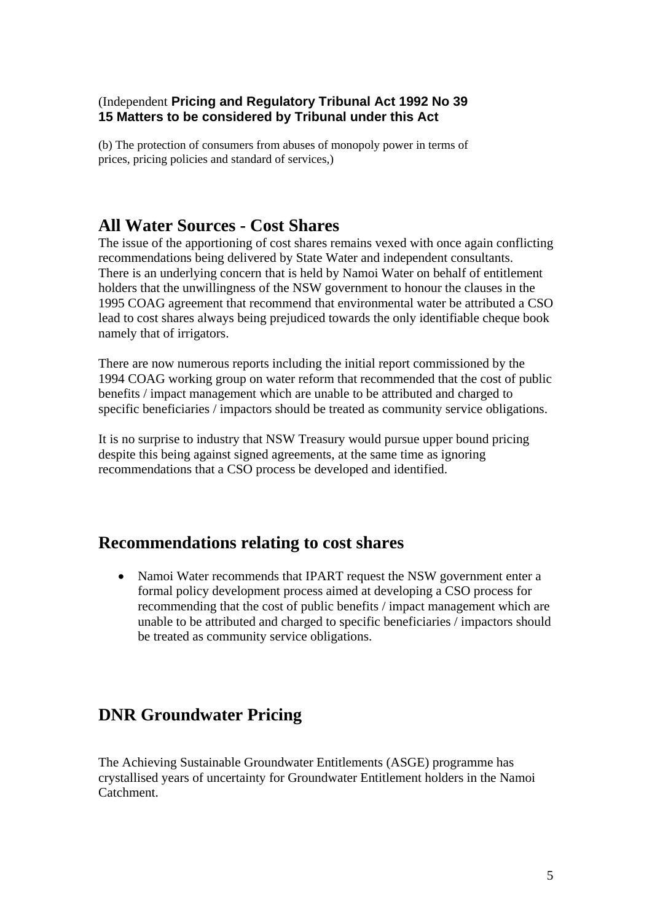### (Independent **Pricing and Regulatory Tribunal Act 1992 No 39 15 Matters to be considered by Tribunal under this Act**

(b) The protection of consumers from abuses of monopoly power in terms of prices, pricing policies and standard of services,)

# **All Water Sources - Cost Shares**

The issue of the apportioning of cost shares remains vexed with once again conflicting recommendations being delivered by State Water and independent consultants. There is an underlying concern that is held by Namoi Water on behalf of entitlement holders that the unwillingness of the NSW government to honour the clauses in the 1995 COAG agreement that recommend that environmental water be attributed a CSO lead to cost shares always being prejudiced towards the only identifiable cheque book namely that of irrigators.

There are now numerous reports including the initial report commissioned by the 1994 COAG working group on water reform that recommended that the cost of public benefits / impact management which are unable to be attributed and charged to specific beneficiaries / impactors should be treated as community service obligations.

It is no surprise to industry that NSW Treasury would pursue upper bound pricing despite this being against signed agreements, at the same time as ignoring recommendations that a CSO process be developed and identified.

## **Recommendations relating to cost shares**

• Namoi Water recommends that IPART request the NSW government enter a formal policy development process aimed at developing a CSO process for recommending that the cost of public benefits / impact management which are unable to be attributed and charged to specific beneficiaries / impactors should be treated as community service obligations.

# **DNR Groundwater Pricing**

The Achieving Sustainable Groundwater Entitlements (ASGE) programme has crystallised years of uncertainty for Groundwater Entitlement holders in the Namoi Catchment.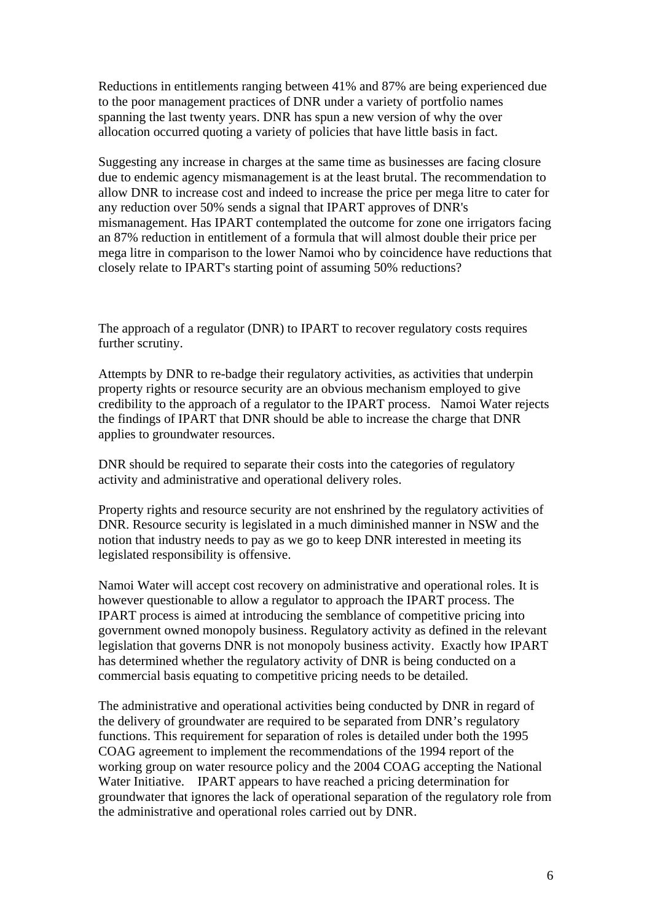Reductions in entitlements ranging between 41% and 87% are being experienced due to the poor management practices of DNR under a variety of portfolio names spanning the last twenty years. DNR has spun a new version of why the over allocation occurred quoting a variety of policies that have little basis in fact.

Suggesting any increase in charges at the same time as businesses are facing closure due to endemic agency mismanagement is at the least brutal. The recommendation to allow DNR to increase cost and indeed to increase the price per mega litre to cater for any reduction over 50% sends a signal that IPART approves of DNR's mismanagement. Has IPART contemplated the outcome for zone one irrigators facing an 87% reduction in entitlement of a formula that will almost double their price per mega litre in comparison to the lower Namoi who by coincidence have reductions that closely relate to IPART's starting point of assuming 50% reductions?

The approach of a regulator (DNR) to IPART to recover regulatory costs requires further scrutiny.

Attempts by DNR to re-badge their regulatory activities, as activities that underpin property rights or resource security are an obvious mechanism employed to give credibility to the approach of a regulator to the IPART process. Namoi Water rejects the findings of IPART that DNR should be able to increase the charge that DNR applies to groundwater resources.

DNR should be required to separate their costs into the categories of regulatory activity and administrative and operational delivery roles.

Property rights and resource security are not enshrined by the regulatory activities of DNR. Resource security is legislated in a much diminished manner in NSW and the notion that industry needs to pay as we go to keep DNR interested in meeting its legislated responsibility is offensive.

Namoi Water will accept cost recovery on administrative and operational roles. It is however questionable to allow a regulator to approach the IPART process. The IPART process is aimed at introducing the semblance of competitive pricing into government owned monopoly business. Regulatory activity as defined in the relevant legislation that governs DNR is not monopoly business activity. Exactly how IPART has determined whether the regulatory activity of DNR is being conducted on a commercial basis equating to competitive pricing needs to be detailed.

The administrative and operational activities being conducted by DNR in regard of the delivery of groundwater are required to be separated from DNR's regulatory functions. This requirement for separation of roles is detailed under both the 1995 COAG agreement to implement the recommendations of the 1994 report of the working group on water resource policy and the 2004 COAG accepting the National Water Initiative. IPART appears to have reached a pricing determination for groundwater that ignores the lack of operational separation of the regulatory role from the administrative and operational roles carried out by DNR.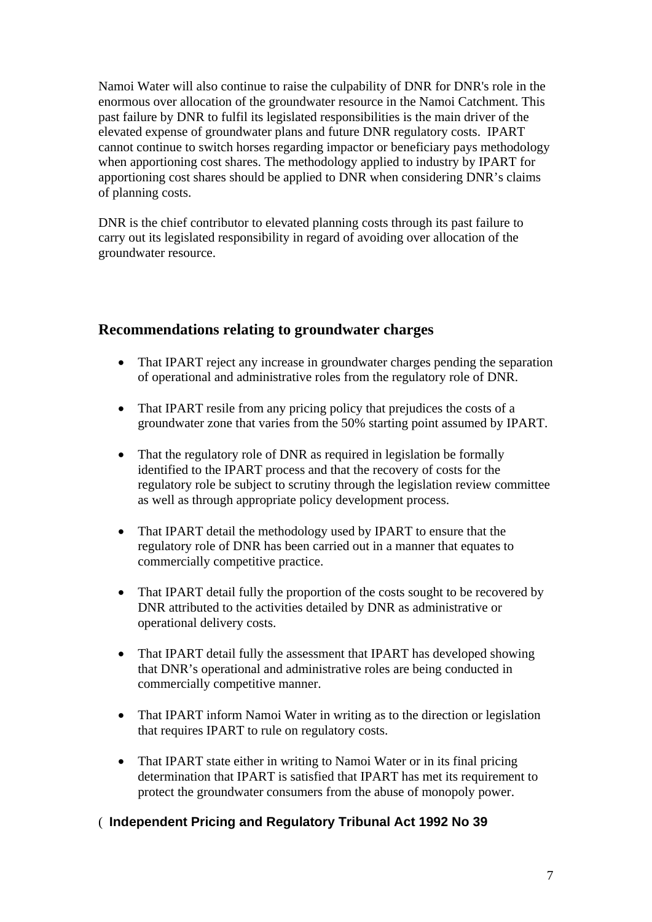Namoi Water will also continue to raise the culpability of DNR for DNR's role in the enormous over allocation of the groundwater resource in the Namoi Catchment. This past failure by DNR to fulfil its legislated responsibilities is the main driver of the elevated expense of groundwater plans and future DNR regulatory costs. IPART cannot continue to switch horses regarding impactor or beneficiary pays methodology when apportioning cost shares. The methodology applied to industry by IPART for apportioning cost shares should be applied to DNR when considering DNR's claims of planning costs.

DNR is the chief contributor to elevated planning costs through its past failure to carry out its legislated responsibility in regard of avoiding over allocation of the groundwater resource.

## **Recommendations relating to groundwater charges**

- That IPART reject any increase in groundwater charges pending the separation of operational and administrative roles from the regulatory role of DNR.
- That IPART resile from any pricing policy that prejudices the costs of a groundwater zone that varies from the 50% starting point assumed by IPART.
- That the regulatory role of DNR as required in legislation be formally identified to the IPART process and that the recovery of costs for the regulatory role be subject to scrutiny through the legislation review committee as well as through appropriate policy development process.
- That IPART detail the methodology used by IPART to ensure that the regulatory role of DNR has been carried out in a manner that equates to commercially competitive practice.
- That IPART detail fully the proportion of the costs sought to be recovered by DNR attributed to the activities detailed by DNR as administrative or operational delivery costs.
- That IPART detail fully the assessment that IPART has developed showing that DNR's operational and administrative roles are being conducted in commercially competitive manner.
- That IPART inform Namoi Water in writing as to the direction or legislation that requires IPART to rule on regulatory costs.
- That IPART state either in writing to Namoi Water or in its final pricing determination that IPART is satisfied that IPART has met its requirement to protect the groundwater consumers from the abuse of monopoly power.

### ( **Independent Pricing and Regulatory Tribunal Act 1992 No 39**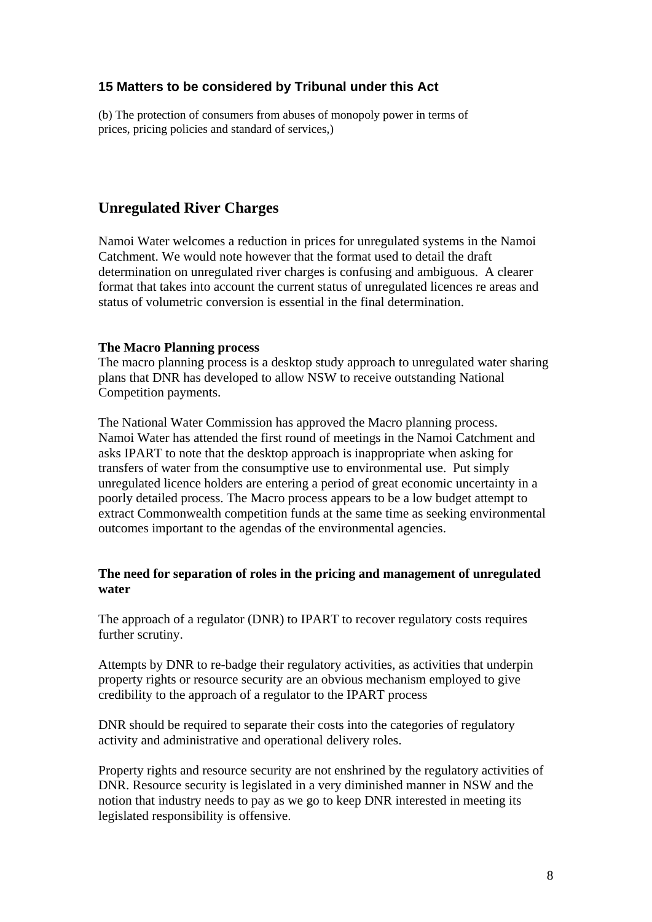### **15 Matters to be considered by Tribunal under this Act**

(b) The protection of consumers from abuses of monopoly power in terms of prices, pricing policies and standard of services,)

### **Unregulated River Charges**

Namoi Water welcomes a reduction in prices for unregulated systems in the Namoi Catchment. We would note however that the format used to detail the draft determination on unregulated river charges is confusing and ambiguous. A clearer format that takes into account the current status of unregulated licences re areas and status of volumetric conversion is essential in the final determination.

#### **The Macro Planning process**

The macro planning process is a desktop study approach to unregulated water sharing plans that DNR has developed to allow NSW to receive outstanding National Competition payments.

The National Water Commission has approved the Macro planning process. Namoi Water has attended the first round of meetings in the Namoi Catchment and asks IPART to note that the desktop approach is inappropriate when asking for transfers of water from the consumptive use to environmental use. Put simply unregulated licence holders are entering a period of great economic uncertainty in a poorly detailed process. The Macro process appears to be a low budget attempt to extract Commonwealth competition funds at the same time as seeking environmental outcomes important to the agendas of the environmental agencies.

#### **The need for separation of roles in the pricing and management of unregulated water**

The approach of a regulator (DNR) to IPART to recover regulatory costs requires further scrutiny.

Attempts by DNR to re-badge their regulatory activities, as activities that underpin property rights or resource security are an obvious mechanism employed to give credibility to the approach of a regulator to the IPART process

DNR should be required to separate their costs into the categories of regulatory activity and administrative and operational delivery roles.

Property rights and resource security are not enshrined by the regulatory activities of DNR. Resource security is legislated in a very diminished manner in NSW and the notion that industry needs to pay as we go to keep DNR interested in meeting its legislated responsibility is offensive.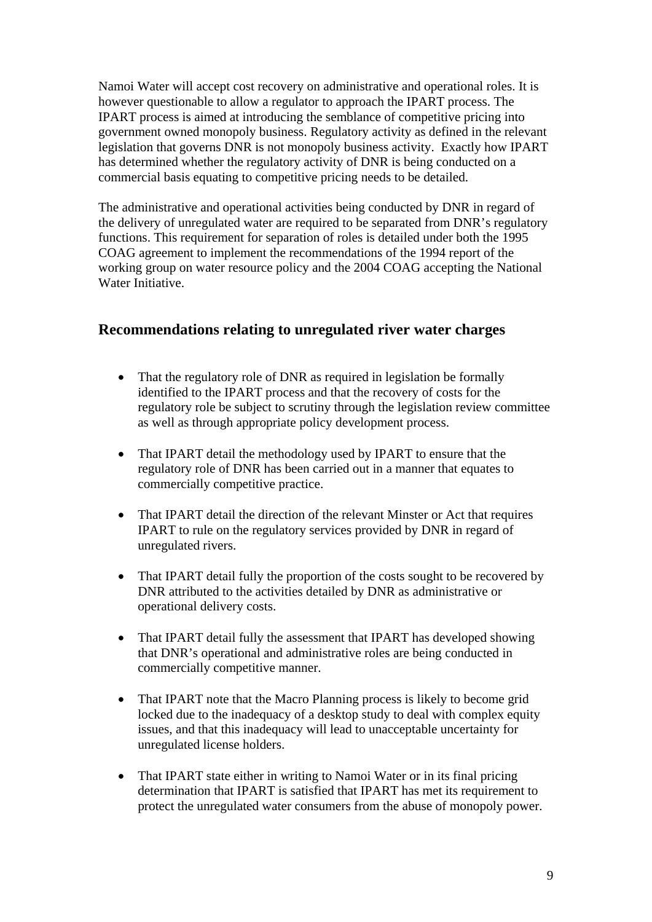Namoi Water will accept cost recovery on administrative and operational roles. It is however questionable to allow a regulator to approach the IPART process. The IPART process is aimed at introducing the semblance of competitive pricing into government owned monopoly business. Regulatory activity as defined in the relevant legislation that governs DNR is not monopoly business activity. Exactly how IPART has determined whether the regulatory activity of DNR is being conducted on a commercial basis equating to competitive pricing needs to be detailed.

The administrative and operational activities being conducted by DNR in regard of the delivery of unregulated water are required to be separated from DNR's regulatory functions. This requirement for separation of roles is detailed under both the 1995 COAG agreement to implement the recommendations of the 1994 report of the working group on water resource policy and the 2004 COAG accepting the National Water Initiative.

## **Recommendations relating to unregulated river water charges**

- That the regulatory role of DNR as required in legislation be formally identified to the IPART process and that the recovery of costs for the regulatory role be subject to scrutiny through the legislation review committee as well as through appropriate policy development process.
- That IPART detail the methodology used by IPART to ensure that the regulatory role of DNR has been carried out in a manner that equates to commercially competitive practice.
- That IPART detail the direction of the relevant Minster or Act that requires IPART to rule on the regulatory services provided by DNR in regard of unregulated rivers.
- That IPART detail fully the proportion of the costs sought to be recovered by DNR attributed to the activities detailed by DNR as administrative or operational delivery costs.
- That IPART detail fully the assessment that IPART has developed showing that DNR's operational and administrative roles are being conducted in commercially competitive manner.
- That IPART note that the Macro Planning process is likely to become grid locked due to the inadequacy of a desktop study to deal with complex equity issues, and that this inadequacy will lead to unacceptable uncertainty for unregulated license holders.
- That IPART state either in writing to Namoi Water or in its final pricing determination that IPART is satisfied that IPART has met its requirement to protect the unregulated water consumers from the abuse of monopoly power.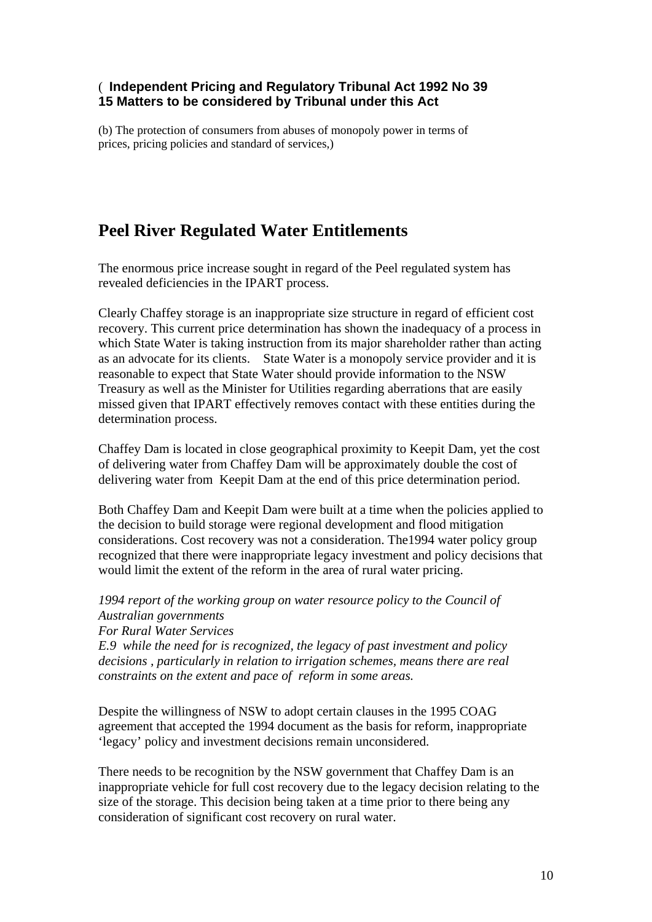### ( **Independent Pricing and Regulatory Tribunal Act 1992 No 39 15 Matters to be considered by Tribunal under this Act**

(b) The protection of consumers from abuses of monopoly power in terms of prices, pricing policies and standard of services,)

# **Peel River Regulated Water Entitlements**

The enormous price increase sought in regard of the Peel regulated system has revealed deficiencies in the IPART process.

Clearly Chaffey storage is an inappropriate size structure in regard of efficient cost recovery. This current price determination has shown the inadequacy of a process in which State Water is taking instruction from its major shareholder rather than acting as an advocate for its clients. State Water is a monopoly service provider and it is reasonable to expect that State Water should provide information to the NSW Treasury as well as the Minister for Utilities regarding aberrations that are easily missed given that IPART effectively removes contact with these entities during the determination process.

Chaffey Dam is located in close geographical proximity to Keepit Dam, yet the cost of delivering water from Chaffey Dam will be approximately double the cost of delivering water from Keepit Dam at the end of this price determination period.

Both Chaffey Dam and Keepit Dam were built at a time when the policies applied to the decision to build storage were regional development and flood mitigation considerations. Cost recovery was not a consideration. The1994 water policy group recognized that there were inappropriate legacy investment and policy decisions that would limit the extent of the reform in the area of rural water pricing.

*1994 report of the working group on water resource policy to the Council of Australian governments For Rural Water Services E.9 while the need for is recognized, the legacy of past investment and policy decisions , particularly in relation to irrigation schemes, means there are real constraints on the extent and pace of reform in some areas.* 

Despite the willingness of NSW to adopt certain clauses in the 1995 COAG agreement that accepted the 1994 document as the basis for reform, inappropriate 'legacy' policy and investment decisions remain unconsidered.

There needs to be recognition by the NSW government that Chaffey Dam is an inappropriate vehicle for full cost recovery due to the legacy decision relating to the size of the storage. This decision being taken at a time prior to there being any consideration of significant cost recovery on rural water.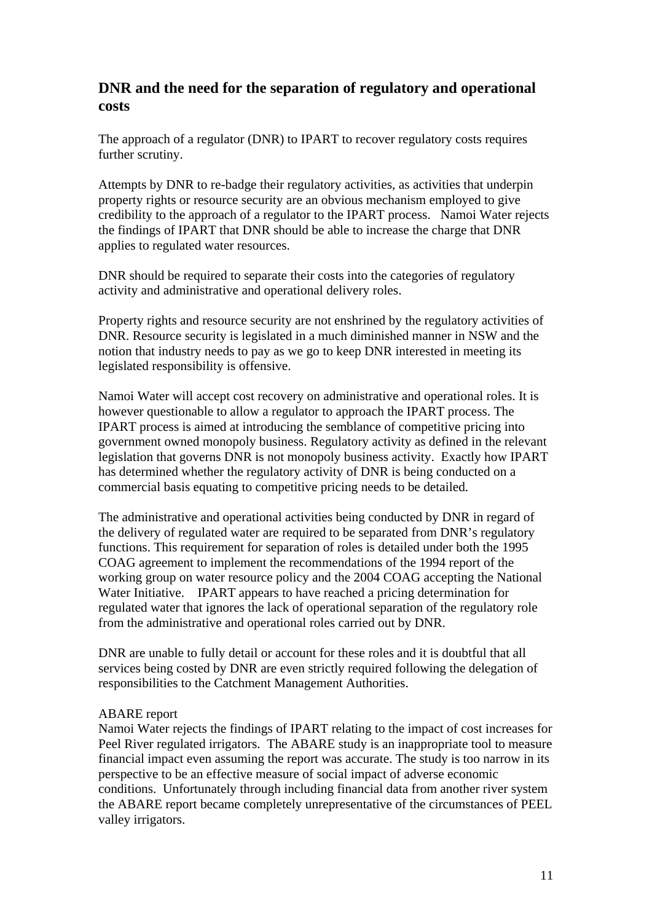## **DNR and the need for the separation of regulatory and operational costs**

The approach of a regulator (DNR) to IPART to recover regulatory costs requires further scrutiny.

Attempts by DNR to re-badge their regulatory activities, as activities that underpin property rights or resource security are an obvious mechanism employed to give credibility to the approach of a regulator to the IPART process. Namoi Water rejects the findings of IPART that DNR should be able to increase the charge that DNR applies to regulated water resources.

DNR should be required to separate their costs into the categories of regulatory activity and administrative and operational delivery roles.

Property rights and resource security are not enshrined by the regulatory activities of DNR. Resource security is legislated in a much diminished manner in NSW and the notion that industry needs to pay as we go to keep DNR interested in meeting its legislated responsibility is offensive.

Namoi Water will accept cost recovery on administrative and operational roles. It is however questionable to allow a regulator to approach the IPART process. The IPART process is aimed at introducing the semblance of competitive pricing into government owned monopoly business. Regulatory activity as defined in the relevant legislation that governs DNR is not monopoly business activity. Exactly how IPART has determined whether the regulatory activity of DNR is being conducted on a commercial basis equating to competitive pricing needs to be detailed.

The administrative and operational activities being conducted by DNR in regard of the delivery of regulated water are required to be separated from DNR's regulatory functions. This requirement for separation of roles is detailed under both the 1995 COAG agreement to implement the recommendations of the 1994 report of the working group on water resource policy and the 2004 COAG accepting the National Water Initiative. IPART appears to have reached a pricing determination for regulated water that ignores the lack of operational separation of the regulatory role from the administrative and operational roles carried out by DNR.

DNR are unable to fully detail or account for these roles and it is doubtful that all services being costed by DNR are even strictly required following the delegation of responsibilities to the Catchment Management Authorities.

#### ABARE report

Namoi Water rejects the findings of IPART relating to the impact of cost increases for Peel River regulated irrigators. The ABARE study is an inappropriate tool to measure financial impact even assuming the report was accurate. The study is too narrow in its perspective to be an effective measure of social impact of adverse economic conditions. Unfortunately through including financial data from another river system the ABARE report became completely unrepresentative of the circumstances of PEEL valley irrigators.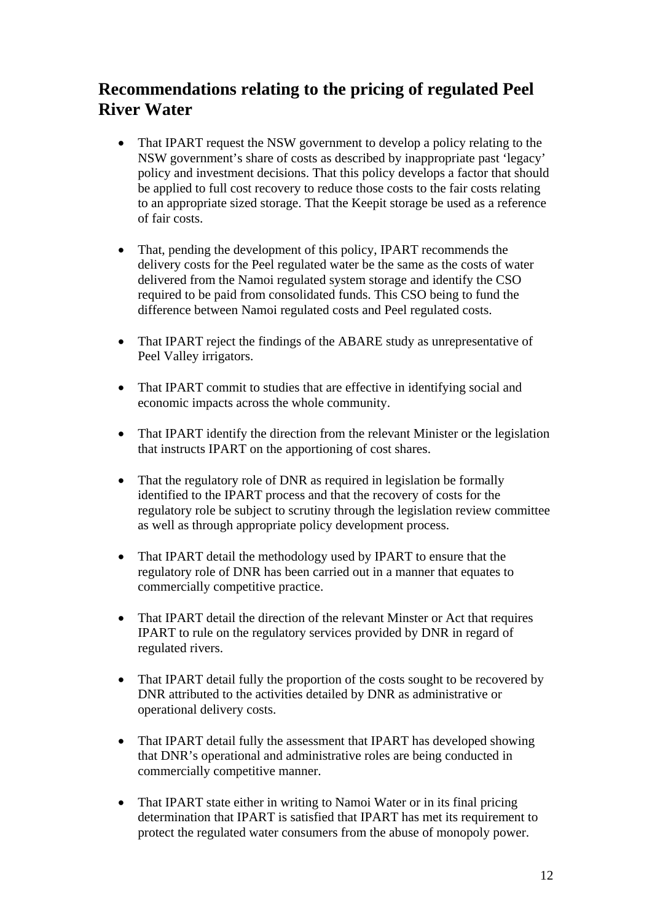# **Recommendations relating to the pricing of regulated Peel River Water**

- That IPART request the NSW government to develop a policy relating to the NSW government's share of costs as described by inappropriate past 'legacy' policy and investment decisions. That this policy develops a factor that should be applied to full cost recovery to reduce those costs to the fair costs relating to an appropriate sized storage. That the Keepit storage be used as a reference of fair costs.
- That, pending the development of this policy, IPART recommends the delivery costs for the Peel regulated water be the same as the costs of water delivered from the Namoi regulated system storage and identify the CSO required to be paid from consolidated funds. This CSO being to fund the difference between Namoi regulated costs and Peel regulated costs.
- That IPART reject the findings of the ABARE study as unrepresentative of Peel Valley irrigators.
- That IPART commit to studies that are effective in identifying social and economic impacts across the whole community.
- That IPART identify the direction from the relevant Minister or the legislation that instructs IPART on the apportioning of cost shares.
- That the regulatory role of DNR as required in legislation be formally identified to the IPART process and that the recovery of costs for the regulatory role be subject to scrutiny through the legislation review committee as well as through appropriate policy development process.
- That IPART detail the methodology used by IPART to ensure that the regulatory role of DNR has been carried out in a manner that equates to commercially competitive practice.
- That IPART detail the direction of the relevant Minster or Act that requires IPART to rule on the regulatory services provided by DNR in regard of regulated rivers.
- That IPART detail fully the proportion of the costs sought to be recovered by DNR attributed to the activities detailed by DNR as administrative or operational delivery costs.
- That IPART detail fully the assessment that IPART has developed showing that DNR's operational and administrative roles are being conducted in commercially competitive manner.
- That IPART state either in writing to Namoi Water or in its final pricing determination that IPART is satisfied that IPART has met its requirement to protect the regulated water consumers from the abuse of monopoly power.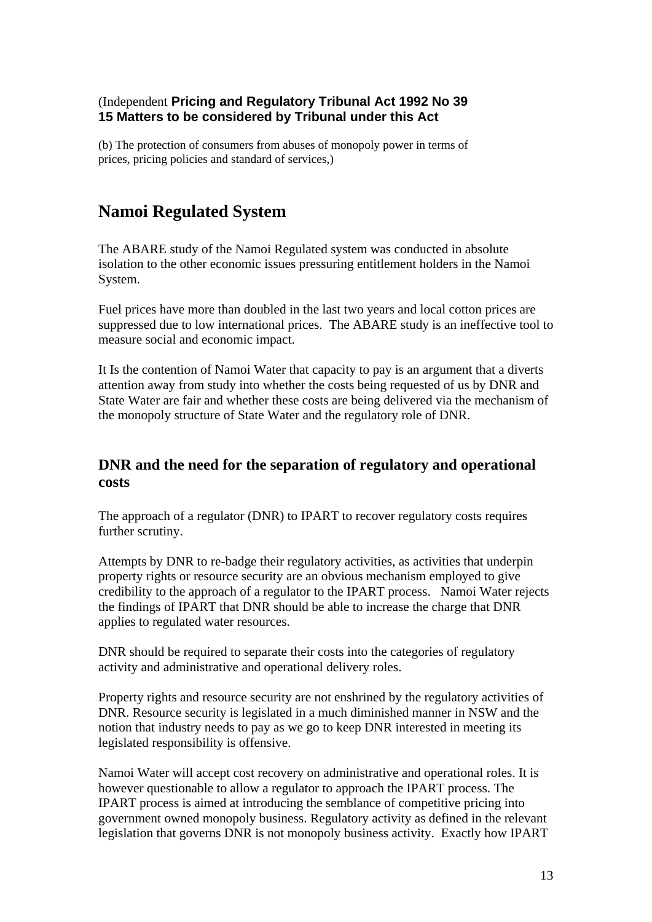### (Independent **Pricing and Regulatory Tribunal Act 1992 No 39 15 Matters to be considered by Tribunal under this Act**

(b) The protection of consumers from abuses of monopoly power in terms of prices, pricing policies and standard of services,)

# **Namoi Regulated System**

The ABARE study of the Namoi Regulated system was conducted in absolute isolation to the other economic issues pressuring entitlement holders in the Namoi System.

Fuel prices have more than doubled in the last two years and local cotton prices are suppressed due to low international prices. The ABARE study is an ineffective tool to measure social and economic impact.

It Is the contention of Namoi Water that capacity to pay is an argument that a diverts attention away from study into whether the costs being requested of us by DNR and State Water are fair and whether these costs are being delivered via the mechanism of the monopoly structure of State Water and the regulatory role of DNR.

## **DNR and the need for the separation of regulatory and operational costs**

The approach of a regulator (DNR) to IPART to recover regulatory costs requires further scrutiny.

Attempts by DNR to re-badge their regulatory activities, as activities that underpin property rights or resource security are an obvious mechanism employed to give credibility to the approach of a regulator to the IPART process. Namoi Water rejects the findings of IPART that DNR should be able to increase the charge that DNR applies to regulated water resources.

DNR should be required to separate their costs into the categories of regulatory activity and administrative and operational delivery roles.

Property rights and resource security are not enshrined by the regulatory activities of DNR. Resource security is legislated in a much diminished manner in NSW and the notion that industry needs to pay as we go to keep DNR interested in meeting its legislated responsibility is offensive.

Namoi Water will accept cost recovery on administrative and operational roles. It is however questionable to allow a regulator to approach the IPART process. The IPART process is aimed at introducing the semblance of competitive pricing into government owned monopoly business. Regulatory activity as defined in the relevant legislation that governs DNR is not monopoly business activity. Exactly how IPART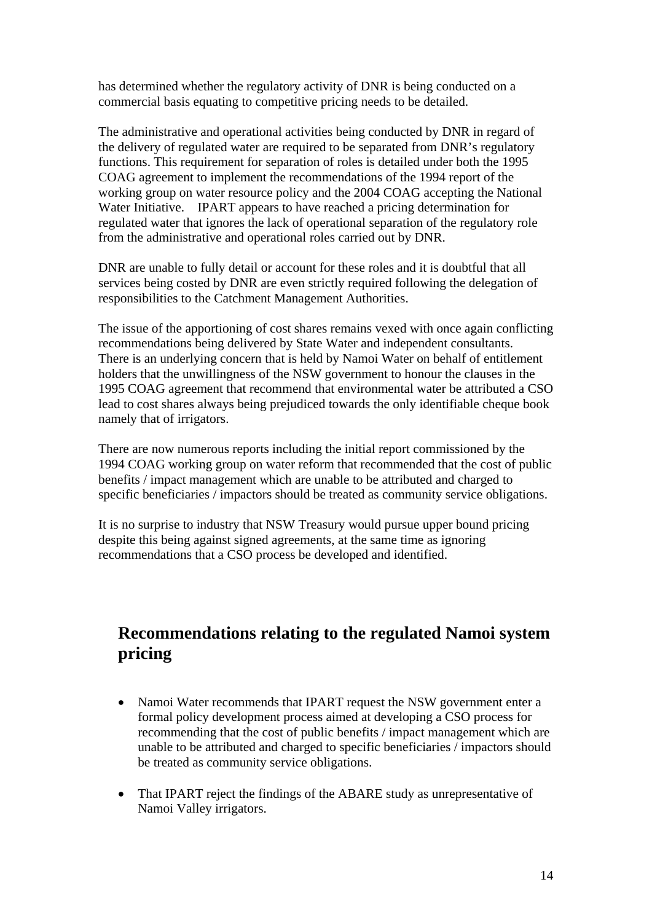has determined whether the regulatory activity of DNR is being conducted on a commercial basis equating to competitive pricing needs to be detailed.

The administrative and operational activities being conducted by DNR in regard of the delivery of regulated water are required to be separated from DNR's regulatory functions. This requirement for separation of roles is detailed under both the 1995 COAG agreement to implement the recommendations of the 1994 report of the working group on water resource policy and the 2004 COAG accepting the National Water Initiative. IPART appears to have reached a pricing determination for regulated water that ignores the lack of operational separation of the regulatory role from the administrative and operational roles carried out by DNR.

DNR are unable to fully detail or account for these roles and it is doubtful that all services being costed by DNR are even strictly required following the delegation of responsibilities to the Catchment Management Authorities.

The issue of the apportioning of cost shares remains vexed with once again conflicting recommendations being delivered by State Water and independent consultants. There is an underlying concern that is held by Namoi Water on behalf of entitlement holders that the unwillingness of the NSW government to honour the clauses in the 1995 COAG agreement that recommend that environmental water be attributed a CSO lead to cost shares always being prejudiced towards the only identifiable cheque book namely that of irrigators.

There are now numerous reports including the initial report commissioned by the 1994 COAG working group on water reform that recommended that the cost of public benefits / impact management which are unable to be attributed and charged to specific beneficiaries / impactors should be treated as community service obligations.

It is no surprise to industry that NSW Treasury would pursue upper bound pricing despite this being against signed agreements, at the same time as ignoring recommendations that a CSO process be developed and identified.

# **Recommendations relating to the regulated Namoi system pricing**

- Namoi Water recommends that IPART request the NSW government enter a formal policy development process aimed at developing a CSO process for recommending that the cost of public benefits / impact management which are unable to be attributed and charged to specific beneficiaries / impactors should be treated as community service obligations.
- That IPART reject the findings of the ABARE study as unrepresentative of Namoi Valley irrigators.